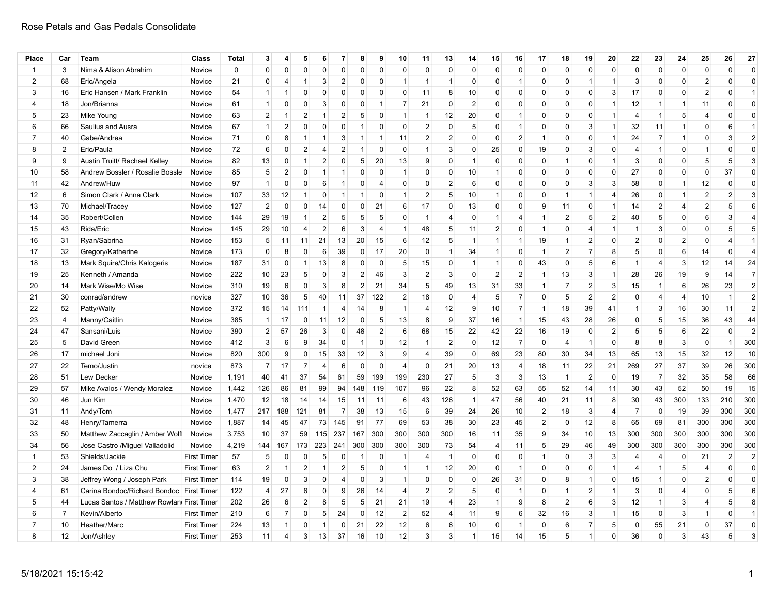| Place          | Car            | Team                                       | Class              | <b>Total</b> | 3               | 4                    | 5              | 6              | 7                       | 8              | 9              | 10                   | 11             | 13             | 14             | 15             | 16             | 17             | 18             | 19             | 20             | 22             | 23             | 24             | 25             | 26             | 27             |
|----------------|----------------|--------------------------------------------|--------------------|--------------|-----------------|----------------------|----------------|----------------|-------------------------|----------------|----------------|----------------------|----------------|----------------|----------------|----------------|----------------|----------------|----------------|----------------|----------------|----------------|----------------|----------------|----------------|----------------|----------------|
| $\overline{1}$ | 3              | Nima & Alison Abrahim                      | Novice             | 0            | $\mathbf 0$     | 0                    | 0              | $\mathbf 0$    | $\mathbf 0$             | 0              | 0              | $\Omega$             | $\mathbf 0$    | 0              | $\Omega$       | $\mathbf 0$    | $\mathbf 0$    | $\mathbf 0$    | 0              | $\mathbf 0$    | 0              | 0              | $\mathbf 0$    | $\mathbf 0$    | $\mathbf 0$    | 0              | $\mathbf 0$    |
| $\overline{2}$ | 68             | Eric/Angela                                | Novice             | 21           | $\Omega$        | 4                    | -1             | 3              | $\overline{2}$          | $\Omega$       | $\Omega$       | -1                   | $\mathbf{1}$   | $\overline{1}$ | $\Omega$       | $\mathbf 0$    | $\mathbf{1}$   | $\Omega$       | $\mathbf 0$    | $\mathbf{1}$   | 1              | 3              | $\mathbf 0$    | $\Omega$       | $\overline{2}$ | 0              | $\mathbf 0$    |
| 3              | 16             | Eric Hansen / Mark Franklin                | Novice             | 54           | $\mathbf{1}$    | $\mathbf 1$          | $\Omega$       | $\Omega$       | $\mathbf 0$             | $\Omega$       | $\Omega$       | $\Omega$             | 11             | 8              | 10             | 0              | $\mathbf 0$    | 0              | 0              | $\mathbf 0$    | 3              | 17             | 0              | $\mathbf{0}$   | $\overline{c}$ | 0              | $\overline{1}$ |
| $\overline{4}$ | 18             | Jon/Brianna                                | Novice             | 61           | $\mathbf{1}$    | 0                    | $\Omega$       | 3              | $\mathbf 0$             | $\Omega$       | $\overline{1}$ | $\overline{7}$       | 21             | 0              | $\overline{2}$ | $\mathbf 0$    | $\mathbf 0$    | $\mathbf 0$    | $\mathbf 0$    | 0              | 1              | 12             | $\overline{1}$ | $\mathbf{1}$   | 11             | $\mathbf 0$    | $\Omega$       |
| 5              | 23             | Mike Young                                 | Novice             | 63           | $\overline{2}$  | $\mathbf 1$          | 2              | $\mathbf 1$    | $\overline{2}$          | 5              | 0              | -1                   | $\overline{1}$ | 12             | 20             | 0              | -1             | 0              | $\Omega$       | $\Omega$       | 1              | 4              | $\overline{1}$ | 5              | $\overline{4}$ | O              | $\mathbf 0$    |
| 6              | 66             | Saulius and Ausra                          | Novice             | 67           | $\mathbf{1}$    | 2                    | $\Omega$       | 0              | $\Omega$                | -1             | $\Omega$       | $\Omega$             | $\overline{2}$ | $\mathbf{0}$   | 5              | $\mathbf 0$    | $\mathbf 1$    | $\Omega$       | 0              | 3              | 1              | 32             | 11             | $\mathbf 1$    | $\mathbf 0$    | 6              | $\mathbf 1$    |
| $\overline{7}$ | 40             | Gabe/Andrea                                | Novice             | 71           | $\mathbf{0}$    | 8                    | -1             | $\overline{1}$ | 3                       | 1              | $\overline{1}$ | 11                   | $\overline{2}$ | $\overline{2}$ | $\Omega$       | $\mathsf 0$    | $\overline{2}$ | $\mathbf{1}$   | $\mathbf 0$    | $\mathbf 0$    | $\mathbf{1}$   | 24             | $\overline{7}$ | $\mathbf{1}$   | $\mathbf 0$    | 3              | $\overline{2}$ |
| 8              | $\overline{2}$ | Eric/Paula                                 | Novice             | 72           | 6               | $\mathbf 0$          | $\overline{2}$ | $\overline{4}$ | $\overline{2}$          | -1             | $\Omega$       | $\Omega$             | $\overline{1}$ | 3              | $\Omega$       | 25             | $\mathbf 0$    | 19             | $\mathbf 0$    | 3              | 0              | 4              | $\overline{1}$ | $\Omega$       | 1              | $\Omega$       | $\Omega$       |
| 9              | 9              | Austin Truitt/ Rachael Kelley              | Novice             | 82           | 13              | $\mathbf 0$          | -1             | $\overline{2}$ | $\mathbf 0$             | 5              | 20             | 13                   | 9              | $\Omega$       | -1             | $\mathbf 0$    | $\Omega$       | $\mathbf 0$    | $\mathbf{1}$   | $\mathbf 0$    | 1              | 3              | $\mathbf 0$    | $\Omega$       | 5              | 5              | 3              |
| 10             | 58             | Andrew Bossler / Rosalie Bossle            | Novice             | 85           | 5               | $\overline{c}$       | 0              | $\overline{1}$ | $\overline{\mathbf{1}}$ | $\Omega$       | $\mathbf 0$    | $\blacktriangleleft$ | $\mathbf 0$    | 0              | 10             | $\mathbf{1}$   | $\mathbf 0$    | $\Omega$       | 0              | $\mathbf 0$    | 0              | 27             | 0              | $\mathbf 0$    | $\mathbf 0$    | 37             | $\mathbf 0$    |
| 11             | 42             | Andrew/Huw                                 | Novice             | 97           | $\mathbf{1}$    | $\mathbf 0$          | 0              | 6              | $\mathbf{1}$            | $\Omega$       | $\overline{4}$ | $\Omega$             | $\mathsf 0$    | $\overline{2}$ | 6              | $\mathbf 0$    | $\Omega$       | $\mathbf{0}$   | $\mathbf 0$    | 3              | 3              | 58             | $\mathbf 0$    | $\mathbf{1}$   | 12             | $\Omega$       | $\Omega$       |
| 12             | 6              | Simon Clark / Anna Clark                   | Novice             | 107          | 33              | 12                   | -1             | 0              | -1                      | -1             | $\Omega$       | -1                   | $\overline{2}$ | 5              | 10             | $\mathbf{1}$   | $\Omega$       | $\mathbf 0$    | $\mathbf{1}$   | $\overline{1}$ | 4              | 26             | $\mathbf 0$    | $\mathbf{1}$   | $\overline{2}$ | $\overline{2}$ | 3              |
| 13             | 70             | Michael/Tracey                             | Novice             | 127          | $\overline{2}$  | 0                    | 0              | 14             | 0                       | 0              | 21             | 6                    | 17             | 0              | 13             | 0              | $\mathbf 0$    | 9              | 11             | 0              | 1              | 14             | $\overline{2}$ | $\overline{4}$ | $\overline{2}$ | 5              | 6              |
| 14             | 35             | Robert/Collen                              | Novice             | 144          | 29              | 19                   | $\overline{1}$ | $\overline{2}$ | 5                       | 5              | 5              | $\Omega$             | $\mathbf{1}$   | $\overline{4}$ | $\Omega$       | $\mathbf{1}$   | $\overline{4}$ | $\mathbf{1}$   | $\overline{c}$ | 5              | $\overline{2}$ | 40             | 5              | $\mathbf 0$    | 6              | 3              | $\overline{4}$ |
| 15             | 43             | Rida/Eric                                  | Novice             | 145          | 29              | 10                   | 4              | $\overline{2}$ | 6                       | 3              | $\overline{4}$ | -1                   | 48             | 5              | 11             | $\overline{2}$ | $\Omega$       | -1             | 0              | $\overline{4}$ | 1              | $\mathbf 1$    | 3              | $\Omega$       | $\mathbf 0$    | 5              | 5              |
| 16             | 31             | Ryan/Sabrina                               | Novice             | 153          | 5               | 11                   | 11             | 21             | 13                      | 20             | 15             | 6                    | 12             | 5              | -1             | $\mathbf{1}$   | $\mathbf{1}$   | 19             | $\mathbf{1}$   | $\overline{2}$ | 0              | $\overline{2}$ | $\mathbf 0$    | $\overline{2}$ | 0              | 4              | $\mathbf{1}$   |
| 17             | 32             | Gregory/Katherine                          | Novice             | 173          | $\mathbf{0}$    | 8                    | $\Omega$       | 6              | 39                      | 0              | 17             | 20                   | 0              | $\mathbf{1}$   | 34             | $\mathbf{1}$   | $\mathbf 0$    | $\mathbf{1}$   | $\overline{c}$ | $\overline{7}$ | 8              | 5              | 0              | 6              | 14             | $\Omega$       | $\overline{4}$ |
| 18             | 13             | Mark Squire/Chris Kalogeris                | Novice             | 187          | 31              | $\mathbf 0$          | $\overline{1}$ | 13             | 8                       | $\Omega$       | $\mathbf 0$    | 5                    | 15             | 0              | $\mathbf 1$    | $\mathbf{1}$   | $\mathbf 0$    | 43             | $\mathbf 0$    | 5              | 6              | $\mathbf{1}$   | $\overline{4}$ | 3              | 12             | 14             | 24             |
| 19             | 25             | Kenneth / Amanda                           | Novice             | 222          | 10 <sup>1</sup> | 23                   | 5              | 0              | 3                       | $\overline{2}$ | 46             | 3                    | $\overline{2}$ | 3              | $\Omega$       | $\overline{2}$ | $\overline{2}$ | $\mathbf 1$    | 13             | 3              | 1              | 28             | 26             | 19             | 9              | 14             | $\overline{7}$ |
| 20             | 14             | Mark Wise/Mo Wise                          | Novice             | 310          | 19              | 6                    | $\Omega$       | 3              | 8                       | $\overline{2}$ | 21             | 34                   | 5              | 49             | 13             | 31             | 33             | $\mathbf{1}$   | $\overline{7}$ | $\overline{2}$ | 3              | 15             | $\overline{1}$ | 6              | 26             | 23             | $\overline{2}$ |
| 21             | 30             | conrad/andrew                              | novice             | 327          | 10 <sup>1</sup> | 36                   | 5              | 40             | 11                      | 37             | 122            | $\overline{2}$       | 18             | $\mathbf 0$    | 4              | 5              | $\overline{7}$ | $\Omega$       | 5              | $\overline{2}$ | $\overline{2}$ | $\Omega$       | $\overline{4}$ | 4              | 10             | 1              | $\overline{2}$ |
| 22             | 52             | Patty/Wally                                | Novice             | 372          | 15              | 14                   | 111            | $\overline{1}$ | $\overline{4}$          | 14             | 8              | $\mathbf{1}$         | $\overline{4}$ | 12             | 9              | 10             | $\overline{7}$ | $\overline{1}$ | 18             | 39             | 41             | $\mathbf{1}$   | 3              | 16             | 30             | 11             | $\overline{2}$ |
| 23             | $\overline{4}$ | Manny/Caitlin                              | Novice             | 385          | $\mathbf{1}$    | 17                   | 0              | 11             | 12                      | $\mathbf 0$    | 5              | 13                   | 8              | 9              | 37             | 16             | $\mathbf{1}$   | 15             | 43             | 28             | 26             | $\mathbf 0$    | 5              | 15             | 36             | 43             | 44             |
| 24             | 47             | Sansani/Luis                               | Novice             | 390          | 2 <sup>1</sup>  | 57                   | 26             | 3              | $\mathbf 0$             | 48             | $\overline{2}$ | 6                    | 68             | 15             | 22             | 42             | 22             | 16             | 19             | 0              | $\overline{2}$ | 5              | 5              | 6              | 22             | $\Omega$       | $\overline{2}$ |
| 25             | 5              | David Green                                | Novice             | 412          | 3               | 6                    | 9              | 34             | $\Omega$                | $\overline{1}$ | 0              | 12                   | $\mathbf{1}$   | 2              | $\Omega$       | 12             | $\overline{7}$ | 0              | $\overline{4}$ | $\overline{1}$ | 0              | 8              | 8              | 3              | 0              | 1              | 300            |
| 26             | 17             | michael Joni                               | Novice             | 820          | 300             | 9                    | 0              | 15             | 33                      | 12             | 3              | 9                    | $\overline{4}$ | 39             | $\Omega$       | 69             | 23             | 80             | 30             | 34             | 13             | 65             | 13             | 15             | 32             | 12             | 10             |
| 27             | 22             | Temo/Justin                                | novice             | 873          | $\overline{7}$  | 17                   | $\overline{7}$ | $\overline{4}$ | 6                       | $\Omega$       | $\mathbf{0}$   | $\overline{4}$       | $\mathbf 0$    | 21             | 20             | 13             | $\overline{4}$ | 18             | 11             | 22             | 21             | 269            | 27             | 37             | 39             | 26             | 300            |
| 28             | 51             | Lew Decker                                 | Novice             | 1,191        | 40              | 41                   | 37             | 54             | 61                      | 59             | 199            | 199                  | 230            | 27             | 5              | $\mathbf{3}$   | 3              | 13             | $\mathbf{1}$   | $\overline{2}$ | $\Omega$       | 19             | $\overline{7}$ | 32             | 35             | 58             | 66             |
| 29             | 57             | Mike Avalos / Wendy Moralez                | Novice             | 1,442        | 126             | 86                   | 81             | 99             | 94                      | 148            | 119            | 107                  | 96             | 22             | 8              | 52             | 63             | 55             | 52             | 14             | 11             | 30             | 43             | 52             | 50             | 19             | 15             |
| 30             | 46             | Jun Kim                                    | Novice             | 1,470        | 12              | 18                   | -14            | 14             | 15                      | 11             | 11             | 6                    | 43             | 126            | -1             | 47             | 56             | 40             | 21             | 11             | 8              | 30             | 43             | 300            | 133            | 210            | 300            |
| 31             | 11             | Andy/Tom                                   | Novice             | 1,477        | 217             | 188                  | 121            | 81             | $\overline{7}$          | 38             | 13             | 15                   | 6              | 39             | 24             | 26             | 10             | $\overline{2}$ | 18             | 3              | 4              | $\overline{7}$ | $\mathbf 0$    | 19             | 39             | 300            | 300            |
| 32             | 48             | Henry/Tamerra                              | Novice             | 1,887        | 14              | 45                   | 47             | 73             | 145                     | 91             | 77             | 69                   | 53             | 38             | 30             | 23             | 45             | $\overline{2}$ | $\mathbf 0$    | 12             | 8              | 65             | 69             | 81             | 300            | 300            | 300            |
| 33             | 50             | Matthew Zaccaglin / Amber Wolf             | Novice             | 3,753        | 10 <sup>1</sup> | 37                   | 59             | 115            | 237                     | 167            | 300            | 300                  | 300            | 300            | 16             | 11             | 35             | 9              | 34             | 10             | 13             | 300            | 300            | 300            | 300            | 300            | 300            |
| 34             | 56             | Jose Castro /Miguel Valladolid             | Novice             | 4,219        | 144             | 167                  | 173            | 223            | 241                     | 300            | 300            | 300                  | 300            | 73             | 54             | $\overline{4}$ | 11             | 5              | 29             | 46             | 49             | 300            | 300            | 300            | 300            | 300            | 300            |
| $\mathbf{1}$   | 53             | Shields/Jackie                             | <b>First Timer</b> | 57           | 5               | 0                    | 0              | 5              | 0                       | -1             | 0              | -1                   | $\overline{4}$ | $\overline{1}$ | $\Omega$       | $\mathbf 0$    | 0              | $\mathbf{1}$   | $\mathbf 0$    | 3              | 3              | $\overline{4}$ | $\overline{4}$ | $\mathbf 0$    | 21             | $\overline{2}$ | $\overline{2}$ |
| $\overline{2}$ | 24             | James Do / Liza Chu                        | <b>First Timer</b> | 63           | $\overline{2}$  | $\mathbf{1}$         | $\overline{2}$ | $\mathbf{1}$   | $\overline{2}$          | 5              | 0              | -1                   | $\mathbf{1}$   | 12             | 20             | $\mathbf 0$    | $\mathbf{1}$   | $\mathbf 0$    | $\mathbf 0$    | $\mathbf 0$    | $\mathbf{1}$   | 4              | $\overline{1}$ | 5              | $\overline{4}$ | $\Omega$       | $\mathbf{0}$   |
| 3              | 38             | Jeffrey Wong / Joseph Park                 | <b>First Timer</b> | 114          | 19              | $\mathbf 0$          | 3              | $\Omega$       | $\overline{4}$          | $\Omega$       | 3              | $\mathbf 1$          | $\mathbf 0$    | 0              | $\Omega$       | 26             | 31             | $\Omega$       | 8              | $\mathbf{1}$   | 0              | 15             | $\overline{1}$ | $\mathbf{0}$   | 2              | 0              | $\Omega$       |
| $\overline{4}$ | 61             | Carina Bondoc/Richard Bondoc               | <b>First Timer</b> | 122          | $\overline{4}$  | 27                   | 6              | 0              | 9                       | 26             | 14             | $\overline{4}$       | $\overline{2}$ | $\mathbf{2}$   | 5              | $\mathbf 0$    | $\mathbf{1}$   | 0              | $\mathbf{1}$   | $\overline{2}$ | $\mathbf{1}$   | 3              | $\mathbf 0$    | $\overline{4}$ | $\mathbf 0$    | 5              | 6              |
| 5              | 44             | Lucas Santos / Matthew Rowland First Timer |                    | 202          | 26              | 6                    | $\overline{2}$ | 8              | 5                       | 5              | 21             | 21                   | 19             | $\overline{4}$ | 23             | $\mathbf{1}$   | 9              | 8              | $\overline{c}$ | 6              | 3              | 12             | $\overline{1}$ | 3              | $\overline{4}$ | 5              | 8              |
| 6              | $\overline{7}$ | Kevin/Alberto                              | <b>First Timer</b> | 210          | 6               | $\overline{7}$       | 0              | 5              | 24                      | 0              | 12             | $\overline{2}$       | 52             | $\overline{4}$ | 11             | 9              | 6              | 32             | 16             | 3              | $\mathbf{1}$   | 15             | 0              | 3              | $\mathbf 1$    | $\Omega$       | $\overline{1}$ |
| $\overline{7}$ | 10             | Heather/Marc                               | <b>First Timer</b> | 224          | 13              | $\blacktriangleleft$ | $\Omega$       | 1              | $\Omega$                | 21             | 22             | 12                   | 6              | 6              | 10             | $\mathbf 0$    | $\overline{1}$ | $\Omega$       | 6              | $\overline{7}$ | 5              | $\mathbf 0$    | 55             | 21             | 0              | 37             | $\mathbf 0$    |
| 8              | 12             | Jon/Ashley                                 | <b>First Timer</b> | 253          | 11              | 4                    | 3              | 13             | 37                      | 16             | 10             | 12                   | 3              | 3              | -1             | 15             | 14             | 15             | 5              |                | 0              | 36             | 0              | 3              | 43             | 5              | 3              |